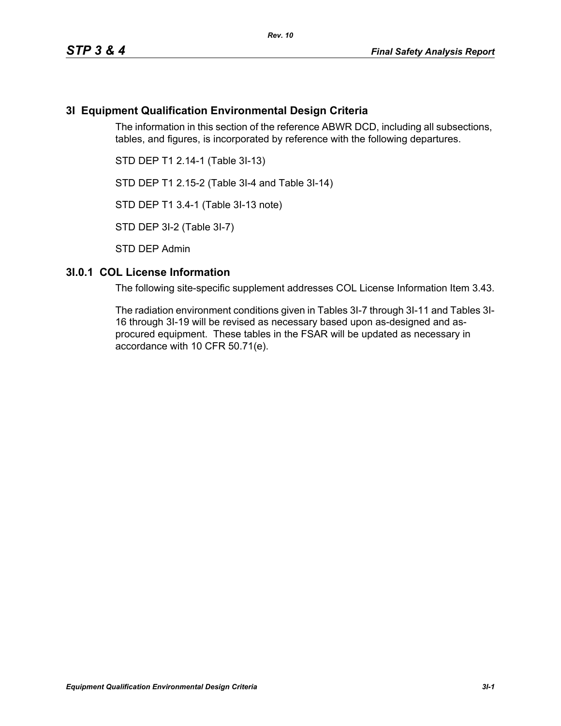# **3I Equipment Qualification Environmental Design Criteria**

The information in this section of the reference ABWR DCD, including all subsections, tables, and figures, is incorporated by reference with the following departures.

STD DEP T1 2.14-1 (Table 3I-13)

STD DEP T1 2.15-2 (Table 3I-4 and Table 3I-14)

STD DEP T1 3.4-1 (Table 3I-13 note)

STD DEP 3I-2 (Table 3I-7)

STD DEP Admin

#### **3I.0.1 COL License Information**

The following site-specific supplement addresses COL License Information Item 3.43.

The radiation environment conditions given in Tables 3I-7 through 3I-11 and Tables 3I-16 through 3I-19 will be revised as necessary based upon as-designed and asprocured equipment. These tables in the FSAR will be updated as necessary in accordance with 10 CFR 50.71(e).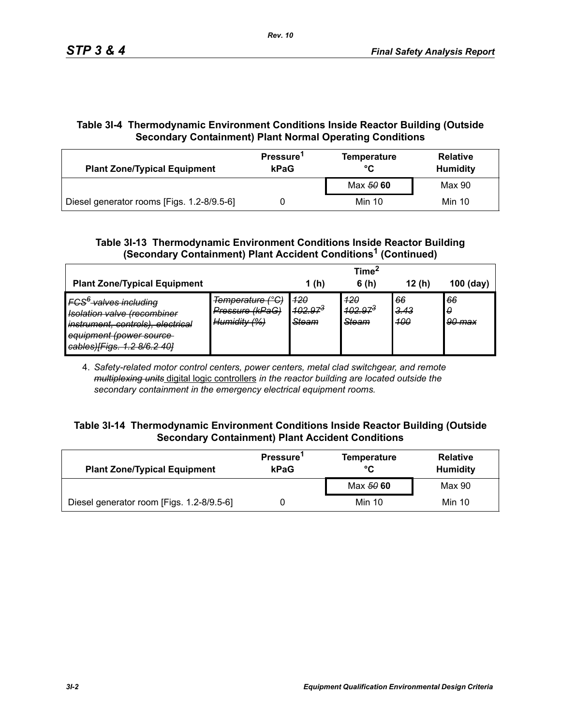# **Table 3I-4 Thermodynamic Environment Conditions Inside Reactor Building (Outside Secondary Containment) Plant Normal Operating Conditions**

| <b>Plant Zone/Typical Equipment</b>        | Pressure <sup>1</sup><br>kPaG | <b>Temperature</b><br>°C | <b>Relative</b><br><b>Humidity</b> |  |
|--------------------------------------------|-------------------------------|--------------------------|------------------------------------|--|
|                                            |                               | Max 50 60                | Max 90                             |  |
| Diesel generator rooms [Figs. 1.2-8/9.5-6] |                               | Min 10                   | Min 10                             |  |

## **Table 3I-13 Thermodynamic Environment Conditions Inside Reactor Building (Secondary Containment) Plant Accident Conditions1 (Continued)**

|                                                                                                                                                                                                        |                                                                                        |                                     | Time <sup>2</sup>                   |                          |                   |
|--------------------------------------------------------------------------------------------------------------------------------------------------------------------------------------------------------|----------------------------------------------------------------------------------------|-------------------------------------|-------------------------------------|--------------------------|-------------------|
| <b>Plant Zone/Typical Equipment</b>                                                                                                                                                                    |                                                                                        | 1 (h)                               | 6(h)                                | 12(h)                    | $100$ (day)       |
| <b>FCS<sup>6</sup> valves including</b><br><b>Isolation valve (recombiner</b><br>instrument, controls), electrical<br>equipment (power source<br>$\text{cable}$<br><del>cabicoj įrigo. 1.2 oro.2</del> | Temperature (°C)<br>Pressure (kPaG)<br>$H$ umidity ( $0/1$<br><del>iummuity 1701</del> | 420<br>$102.97^{3}$<br><b>Steam</b> | 420<br>$102.97^{3}$<br><b>Steam</b> | 66<br><u>3.43</u><br>400 | 66<br>0<br>90 max |

4. *Safety-related motor control centers, power centers, metal clad switchgear, and remote multiplexing units* digital logic controllers *in the reactor building are located outside the secondary containment in the emergency electrical equipment rooms.*

#### **Table 3I-14 Thermodynamic Environment Conditions Inside Reactor Building (Outside Secondary Containment) Plant Accident Conditions**

| <b>Plant Zone/Typical Equipment</b>       | Pressure <sup>1</sup><br>kPaG | <b>Temperature</b><br>°C | <b>Relative</b><br><b>Humidity</b> |  |
|-------------------------------------------|-------------------------------|--------------------------|------------------------------------|--|
|                                           |                               | Max 50 60                | Max 90                             |  |
| Diesel generator room [Figs. 1.2-8/9.5-6] |                               | Min 10                   | Min 10                             |  |